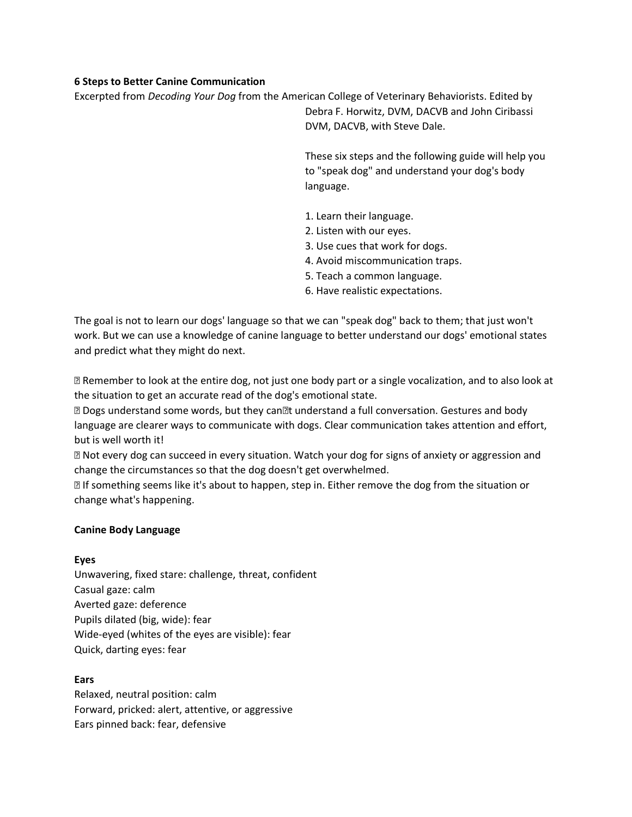# **6 Steps to Better Canine Communication**

Excerpted from *Decoding Your Dog* from the American College of Veterinary Behaviorists. Edited by Debra F. Horwitz, DVM, DACVB and John Ciribassi DVM, DACVB, with Steve Dale.

> These six steps and the following guide will help you to "speak dog" and understand your dog's body language.

- 1. Learn their language.
- 2. Listen with our eyes.
- 3. Use cues that work for dogs.
- 4. Avoid miscommunication traps.
- 5. Teach a common language.
- 6. Have realistic expectations.

The goal is not to learn our dogs' language so that we can "speak dog" back to them; that just won't work. But we can use a knowledge of canine language to better understand our dogs' emotional states and predict what they might do next.

• Remember to look at the entire dog, not just one body part or a single vocalization, and to also look at the situation to get an accurate read of the dog's emotional state.

• Dogs understand some words, but they can' t understand a full conversation. Gestures and body language are clearer ways to communicate with dogs. Clear communication takes attention and effort, but is well worth it!

• Not every dog can succeed in every situation. Watch your dog for signs of anxiety or aggression and change the circumstances so that the dog doesn't get overwhelmed.

• If something seems like it's about to happen, step in. Either remove the dog from the situation or change what's happening.

#### **Canine Body Language**

#### **Eyes**

Unwavering, fixed stare: challenge, threat, confident Casual gaze: calm Averted gaze: deference Pupils dilated (big, wide): fear Wide-eyed (whites of the eyes are visible): fear Quick, darting eyes: fear

# **Ears**

Relaxed, neutral position: calm Forward, pricked: alert, attentive, or aggressive Ears pinned back: fear, defensive